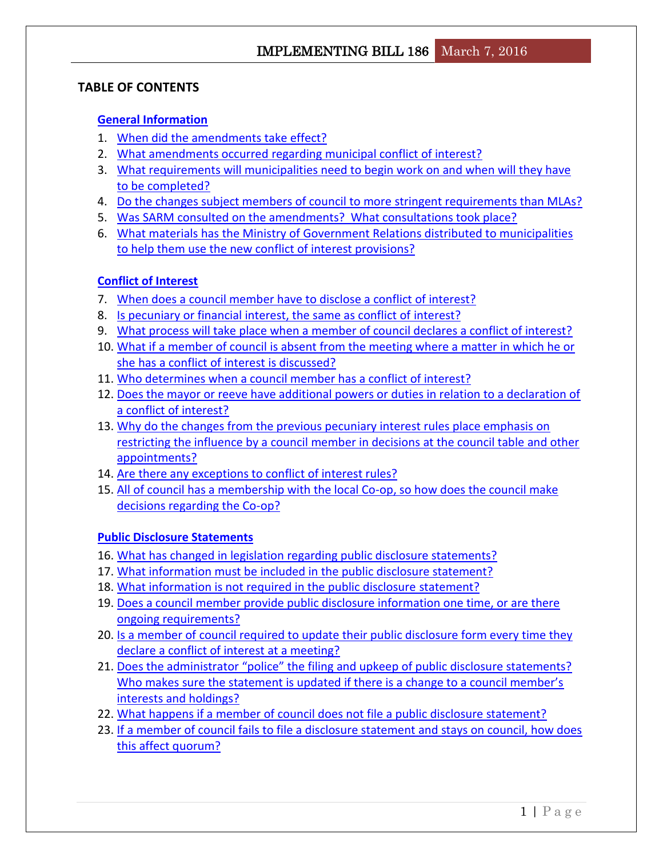## **TABLE OF CONTENTS**

## **[General Information](#page-2-0)**

- 1. [When did the amendments take effect?](#page-2-1)
- 2. [What amendments occurred regarding municipal conflict of interest?](#page-2-2)
- 3. [What requirements will municipalities need to begin work on and when will they have](#page-2-3)  [to be completed?](#page-2-3)
- 4. [Do the changes subject members of council to more stringent requirements than MLAs?](#page-3-0)
- 5. [Was SARM consulted on the amendments? What consultations took place?](#page-3-1)
- 6. [What materials has the Ministry of Government Relations distributed to municipalities](#page-3-2)  [to help them use the new conflict of interest provisions?](#page-3-2)

## **[Conflict of Interest](#page-4-0)**

- 7. [When does a council member have to disclose a conflict of interest?](#page-4-1)
- 8. [Is pecuniary or financial interest, the same as conflict of interest?](#page-4-2)
- 9. [What process will take place when a member of council declares a conflict of interest?](#page-4-3)
- 10. [What if a member of council is absent from the meeting where a matter in which he or](#page-5-0)  [she has a conflict of interest is discussed?](#page-5-0)
- 11. [Who determines when a council member has a conflict of interest?](#page-5-1)
- 12. [Does the mayor or reeve have additional powers or duties in relation to a declaration of](#page-5-2)  [a conflict of interest?](#page-5-2)
- 13. [Why do the changes from the previous pecuniary interest rules place emphasis on](#page-5-3)  [restricting the influence by a council member in decisions at the council table and other](#page-5-3)  [appointments?](#page-5-3)
- 14. [Are there any exceptions to conflict of interest rules?](#page-6-0)
- 15. [All of council has a membership with the local Co-op, so how does the council make](#page-6-1)  [decisions regarding the Co-op?](#page-6-1)

## **[Public Disclosure Statements](#page-6-2)**

- 16. [What has changed in legislation regarding public disclosure statements?](#page-6-3)
- 17. [What information must be included in the public disclosure statement?](#page-7-0)
- 18. [What information is not required in the public disclosure statement?](#page-7-1)
- 19. [Does a council member provide public disclosure information one time, or are there](#page-7-2)  [ongoing requirements?](#page-7-2)
- 20. [Is a member of council required to update their public disclosure form every time they](#page-8-0)  declare [a conflict of interest at a meeting?](#page-8-0)
- 21. Does the administrator "police" the filing and upkeep of public disclosure statements? [Who makes sure the statement is updated if there is a change to a council member's](#page-8-1)  [interests and holdings?](#page-8-1)
- 22. [What happens if a member of council does not file a public disclosure statement?](#page-8-2)
- 23. [If a member of council fails to file a disclosure statement and stays on council, how does](#page-9-0)  [this affect quorum?](#page-9-0)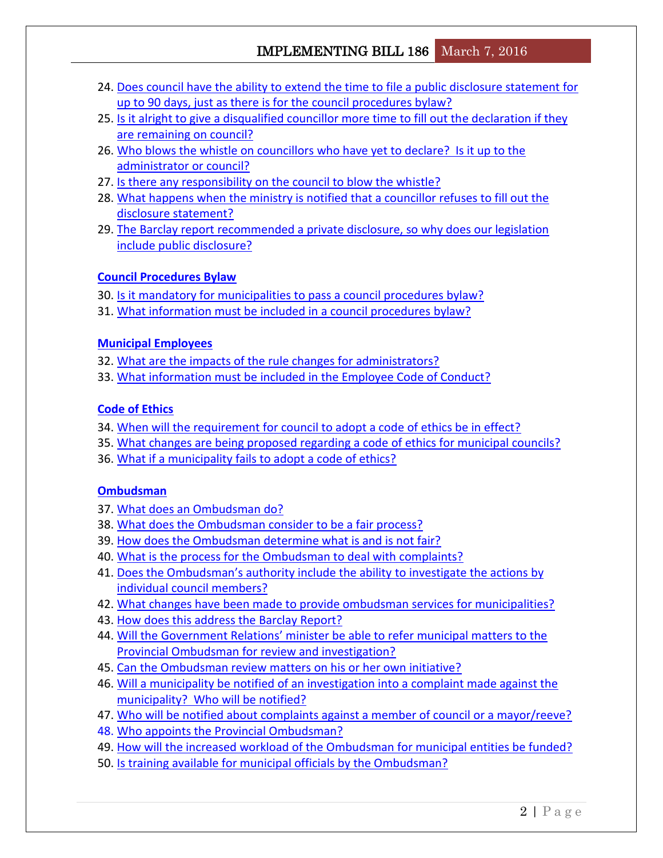- 24. [Does council have the ability to extend the time to file a public disclosure statement for](#page-9-1)  [up to 90 days, just as there is for the council procedures bylaw?](#page-9-1)
- 25. [Is it alright to give a disqualified councillor more time to fill out the declaration if they](#page-9-2)  [are remaining on council?](#page-9-2)
- 26. [Who blows the whistle on councillors who have yet to declare? Is it up to the](#page-9-3)  [administrator or council?](#page-9-3)
- 27. [Is there any responsibility on the council to blow the whistle?](#page-9-4)
- 28. [What happens when the ministry is notified that a councillor refuses to fill out the](#page-10-0)  [disclosure statement?](#page-10-0)
- 29. [The Barclay report recommended a private disclosure, so why does our legislation](#page-10-1)  [include public disclosure?](#page-10-1)

## **[Council Procedures Bylaw](#page-10-2)**

- 30. [Is it mandatory for municipalities to pass a council procedures bylaw?](#page-10-3)
- 31. [What information must be included in a council procedures](#page-10-4) bylaw?

## **[Municipal Employees](#page-11-0)**

- 32. [What are the impacts of the rule changes for administrators?](#page-11-1)
- 33. [What information must be included in the Employee Code of Conduct?](#page-11-2)

## **[Code of Ethics](#page-11-3)**

- 34. [When will the requirement for council to adopt a code of ethics be in effect?](#page-11-4)
- 35. [What changes are being proposed regarding a code of ethics for municipal councils?](#page-12-0)
- 36. [What if a municipality fails to adopt a code of ethics?](#page-12-1)

## **[Ombudsman](#page-12-2)**

- 37. [What does an Ombudsman do?](#page-12-3)
- 38. [What does the Ombudsman consider to be a fair process?](#page-12-4)
- 39. [How does the Ombudsman determine what is and is not fair?](#page-13-0)
- 40. [What is the process for the Ombudsman to deal with complaints?](#page-13-1)
- 41. [Does the Ombudsman's authority include the ability](#page-13-2) to investigate the actions by [individual council members?](#page-13-2)
- 42. [What changes have been made to provide ombudsman services for municipalities?](#page-13-3)
- 43. [How does this address the Barclay Report?](#page-14-0)
- 44. Will the Government Relations' [minister be able to refer municipal matters to the](#page-14-1)  [Provincial Ombudsman for review and investigation?](#page-14-1)
- 45. [Can the Ombudsman review matters on his or her own initiative?](#page-14-2)
- 46. [Will a municipality be notified of an investigation into a complaint made against the](#page-14-3)  [municipality? Who will be notified?](#page-14-3)
- 47. [Who will be notified about complaints against a member of council or a mayor/reeve?](#page-14-4)
- 48. [Who appoints the Provincial Ombudsman?](#page-15-0)
- 49. How will [the increased workload of the Ombudsman for municipal entities be funded?](#page-15-1)
- 50. [Is training available for municipal officials by the Ombudsman?](#page-15-2)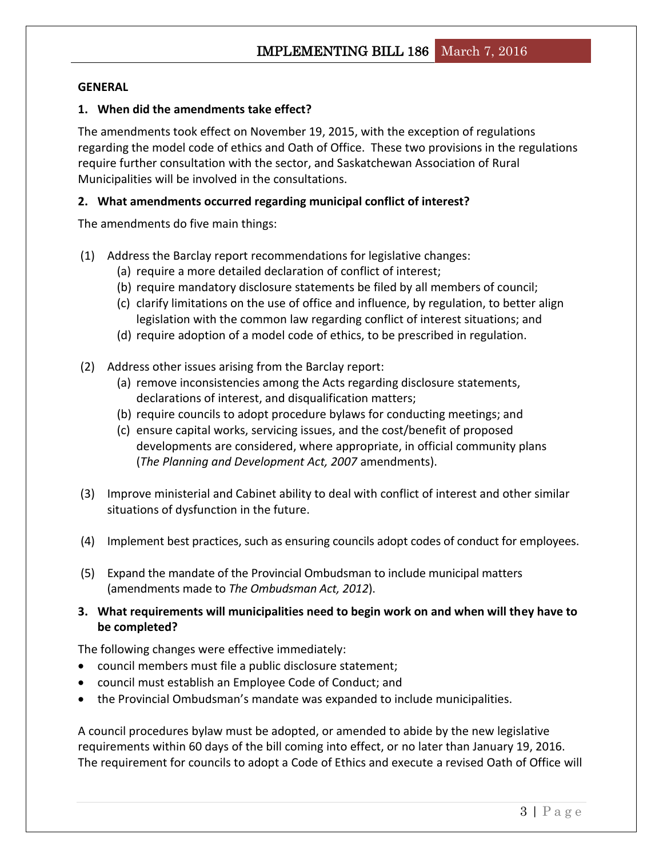### <span id="page-2-0"></span>**GENERAL**

### <span id="page-2-1"></span>**1. When did the amendments take effect?**

The amendments took effect on November 19, 2015, with the exception of regulations regarding the model code of ethics and Oath of Office. These two provisions in the regulations require further consultation with the sector, and Saskatchewan Association of Rural Municipalities will be involved in the consultations.

### <span id="page-2-2"></span>**2. What amendments occurred regarding municipal conflict of interest?**

The amendments do five main things:

- (1) Address the Barclay report recommendations for legislative changes:
	- (a) require a more detailed declaration of conflict of interest;
	- (b) require mandatory disclosure statements be filed by all members of council;
	- (c) clarify limitations on the use of office and influence, by regulation, to better align legislation with the common law regarding conflict of interest situations; and
	- (d) require adoption of a model code of ethics, to be prescribed in regulation.
- (2) Address other issues arising from the Barclay report:
	- (a) remove inconsistencies among the Acts regarding disclosure statements, declarations of interest, and disqualification matters;
	- (b) require councils to adopt procedure bylaws for conducting meetings; and
	- (c) ensure capital works, servicing issues, and the cost/benefit of proposed developments are considered, where appropriate, in official community plans (*The Planning and Development Act, 2007* amendments).
- (3) Improve ministerial and Cabinet ability to deal with conflict of interest and other similar situations of dysfunction in the future.
- (4) Implement best practices, such as ensuring councils adopt codes of conduct for employees.
- (5) Expand the mandate of the Provincial Ombudsman to include municipal matters (amendments made to *The Ombudsman Act, 2012*).
- <span id="page-2-3"></span>**3. What requirements will municipalities need to begin work on and when will they have to be completed?**

The following changes were effective immediately:

- council members must file a public disclosure statement;
- council must establish an Employee Code of Conduct; and
- the Provincial Ombudsman's mandate was expanded to include municipalities.

A council procedures bylaw must be adopted, or amended to abide by the new legislative requirements within 60 days of the bill coming into effect, or no later than January 19, 2016. The requirement for councils to adopt a Code of Ethics and execute a revised Oath of Office will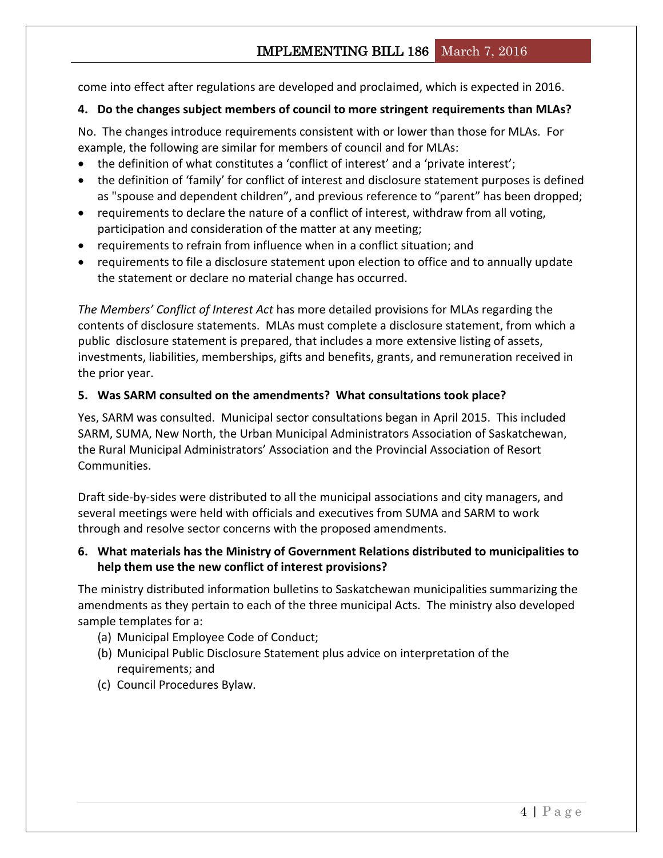# IMPLEMENTING BILL 186 March 7, 2016

come into effect after regulations are developed and proclaimed, which is expected in 2016.

### <span id="page-3-0"></span>**4. Do the changes subject members of council to more stringent requirements than MLAs?**

No. The changes introduce requirements consistent with or lower than those for MLAs. For example, the following are similar for members of council and for MLAs:

- the definition of what constitutes a 'conflict of interest' and a 'private interest';
- the definition of 'family' for conflict of interest and disclosure statement purposes is defined as "spouse and dependent children", and previous reference to "parent" has been dropped;
- requirements to declare the nature of a conflict of interest, withdraw from all voting, participation and consideration of the matter at any meeting;
- requirements to refrain from influence when in a conflict situation; and
- requirements to file a disclosure statement upon election to office and to annually update the statement or declare no material change has occurred.

*The Members' Conflict of Interest Act* has more detailed provisions for MLAs regarding the contents of disclosure statements. MLAs must complete a disclosure statement, from which a public disclosure statement is prepared, that includes a more extensive listing of assets, investments, liabilities, memberships, gifts and benefits, grants, and remuneration received in the prior year.

### <span id="page-3-1"></span>**5. Was SARM consulted on the amendments? What consultations took place?**

Yes, SARM was consulted. Municipal sector consultations began in April 2015. This included SARM, SUMA, New North, the Urban Municipal Administrators Association of Saskatchewan, the Rural Municipal Administrators' Association and the Provincial Association of Resort Communities.

Draft side-by-sides were distributed to all the municipal associations and city managers, and several meetings were held with officials and executives from SUMA and SARM to work through and resolve sector concerns with the proposed amendments.

### <span id="page-3-2"></span>**6. What materials has the Ministry of Government Relations distributed to municipalities to help them use the new conflict of interest provisions?**

The ministry distributed information bulletins to Saskatchewan municipalities summarizing the amendments as they pertain to each of the three municipal Acts. The ministry also developed sample templates for a:

- (a) Municipal Employee Code of Conduct;
- (b) Municipal Public Disclosure Statement plus advice on interpretation of the requirements; and
- (c) Council Procedures Bylaw.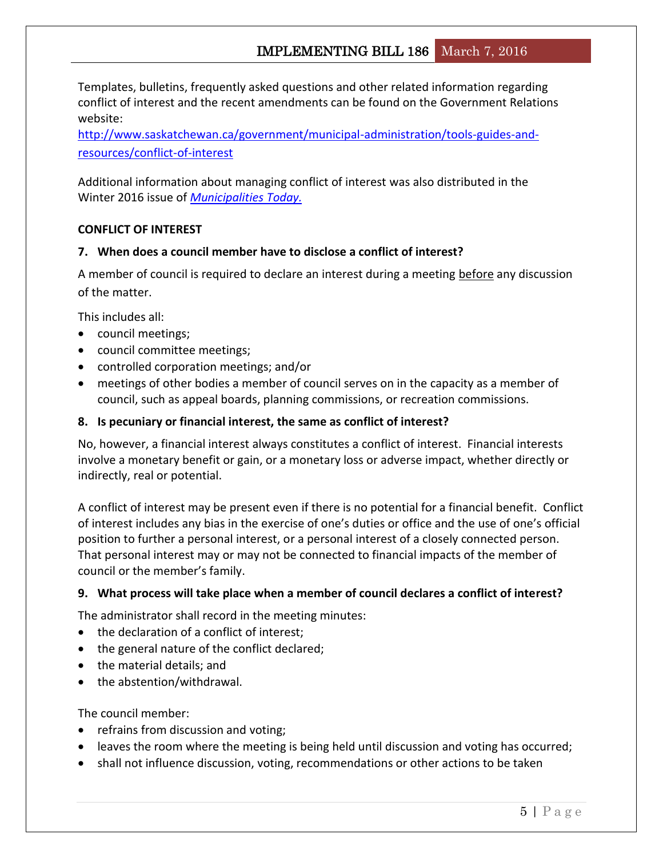Templates, bulletins, frequently asked questions and other related information regarding conflict of interest and the recent amendments can be found on the Government Relations website:

[http://www.saskatchewan.ca/government/municipal-administration/tools-guides-and](http://www.saskatchewan.ca/government/municipal-administration/tools-guides-and-resources/conflict-of-interest)[resources/conflict-of-interest](http://www.saskatchewan.ca/government/municipal-administration/tools-guides-and-resources/conflict-of-interest)

Additional information about managing conflict of interest was also distributed in the Winter 2016 issue of *[Municipalities Today.](http://www.saskatchewan.ca/government/municipal-administration/tools-guides-and-resources/municipalities-today/2016-winter#step-1)*

## <span id="page-4-0"></span>**CONFLICT OF INTEREST**

## <span id="page-4-1"></span>**7. When does a council member have to disclose a conflict of interest?**

A member of council is required to declare an interest during a meeting before any discussion of the matter.

This includes all:

- council meetings;
- council committee meetings;
- controlled corporation meetings; and/or
- meetings of other bodies a member of council serves on in the capacity as a member of council, such as appeal boards, planning commissions, or recreation commissions.

## <span id="page-4-2"></span>**8. Is pecuniary or financial interest, the same as conflict of interest?**

No, however, a financial interest always constitutes a conflict of interest. Financial interests involve a monetary benefit or gain, or a monetary loss or adverse impact, whether directly or indirectly, real or potential.

A conflict of interest may be present even if there is no potential for a financial benefit. Conflict of interest includes any bias in the exercise of one's duties or office and the use of one's official position to further a personal interest, or a personal interest of a closely connected person. That personal interest may or may not be connected to financial impacts of the member of council or the member's family.

## <span id="page-4-3"></span>**9. What process will take place when a member of council declares a conflict of interest?**

The administrator shall record in the meeting minutes:

- the declaration of a conflict of interest;
- the general nature of the conflict declared;
- the material details; and
- the abstention/withdrawal.

The council member:

- refrains from discussion and voting;
- leaves the room where the meeting is being held until discussion and voting has occurred;
- shall not influence discussion, voting, recommendations or other actions to be taken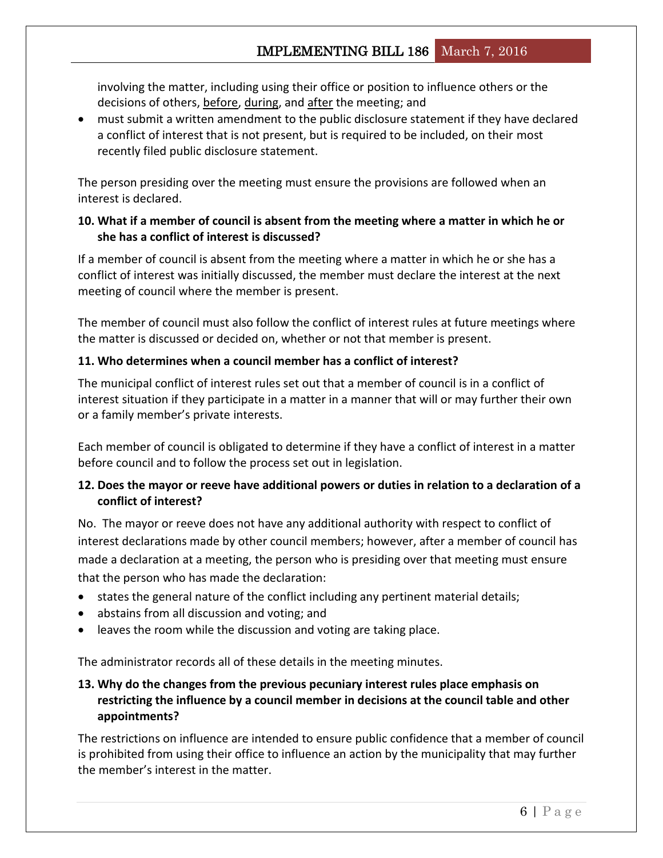involving the matter, including using their office or position to influence others or the decisions of others, before, during, and after the meeting; and

 must submit a written amendment to the public disclosure statement if they have declared a conflict of interest that is not present, but is required to be included, on their most recently filed public disclosure statement.

The person presiding over the meeting must ensure the provisions are followed when an interest is declared.

## <span id="page-5-0"></span>**10. What if a member of council is absent from the meeting where a matter in which he or she has a conflict of interest is discussed?**

If a member of council is absent from the meeting where a matter in which he or she has a conflict of interest was initially discussed, the member must declare the interest at the next meeting of council where the member is present.

The member of council must also follow the conflict of interest rules at future meetings where the matter is discussed or decided on, whether or not that member is present.

## <span id="page-5-1"></span>**11. Who determines when a council member has a conflict of interest?**

The municipal conflict of interest rules set out that a member of council is in a conflict of interest situation if they participate in a matter in a manner that will or may further their own or a family member's private interests.

Each member of council is obligated to determine if they have a conflict of interest in a matter before council and to follow the process set out in legislation.

## <span id="page-5-2"></span>**12. Does the mayor or reeve have additional powers or duties in relation to a declaration of a conflict of interest?**

No. The mayor or reeve does not have any additional authority with respect to conflict of interest declarations made by other council members; however, after a member of council has made a declaration at a meeting, the person who is presiding over that meeting must ensure that the person who has made the declaration:

- states the general nature of the conflict including any pertinent material details;
- abstains from all discussion and voting; and
- leaves the room while the discussion and voting are taking place.

The administrator records all of these details in the meeting minutes.

## <span id="page-5-3"></span>**13. Why do the changes from the previous pecuniary interest rules place emphasis on restricting the influence by a council member in decisions at the council table and other appointments?**

The restrictions on influence are intended to ensure public confidence that a member of council is prohibited from using their office to influence an action by the municipality that may further the member's interest in the matter.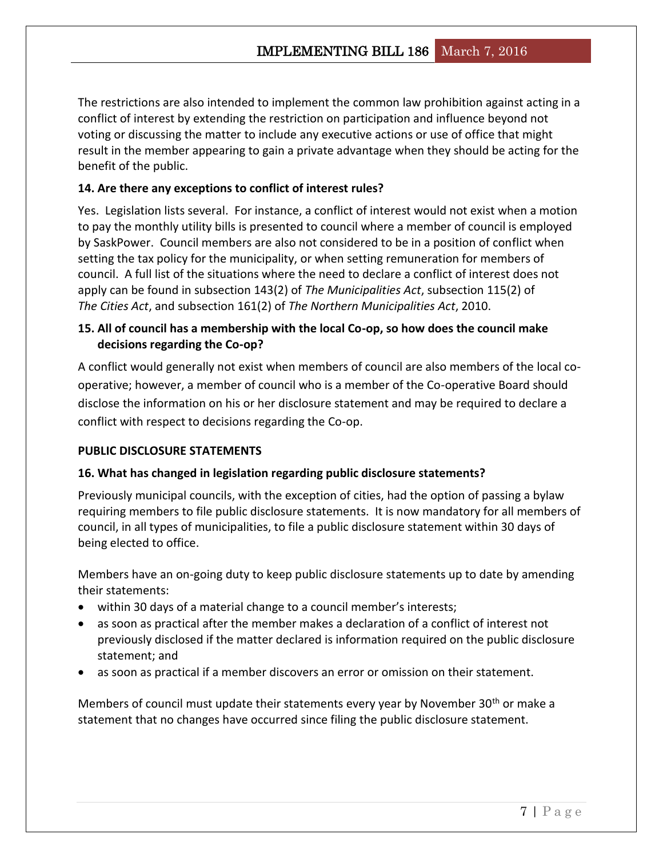The restrictions are also intended to implement the common law prohibition against acting in a conflict of interest by extending the restriction on participation and influence beyond not voting or discussing the matter to include any executive actions or use of office that might result in the member appearing to gain a private advantage when they should be acting for the benefit of the public.

### <span id="page-6-0"></span>**14. Are there any exceptions to conflict of interest rules?**

Yes. Legislation lists several. For instance, a conflict of interest would not exist when a motion to pay the monthly utility bills is presented to council where a member of council is employed by SaskPower. Council members are also not considered to be in a position of conflict when setting the tax policy for the municipality, or when setting remuneration for members of council. A full list of the situations where the need to declare a conflict of interest does not apply can be found in subsection 143(2) of *The Municipalities Act*, subsection 115(2) of *The Cities Act*, and subsection 161(2) of *The Northern Municipalities Act*, 2010.

## <span id="page-6-1"></span>**15. All of council has a membership with the local Co-op, so how does the council make decisions regarding the Co-op?**

A conflict would generally not exist when members of council are also members of the local cooperative; however, a member of council who is a member of the Co-operative Board should disclose the information on his or her disclosure statement and may be required to declare a conflict with respect to decisions regarding the Co-op.

### <span id="page-6-2"></span>**PUBLIC DISCLOSURE STATEMENTS**

### <span id="page-6-3"></span>**16. What has changed in legislation regarding public disclosure statements?**

Previously municipal councils, with the exception of cities, had the option of passing a bylaw requiring members to file public disclosure statements. It is now mandatory for all members of council, in all types of municipalities, to file a public disclosure statement within 30 days of being elected to office.

Members have an on-going duty to keep public disclosure statements up to date by amending their statements:

- within 30 days of a material change to a council member's interests;
- as soon as practical after the member makes a declaration of a conflict of interest not previously disclosed if the matter declared is information required on the public disclosure statement; and
- as soon as practical if a member discovers an error or omission on their statement.

Members of council must update their statements every year by November 30<sup>th</sup> or make a statement that no changes have occurred since filing the public disclosure statement.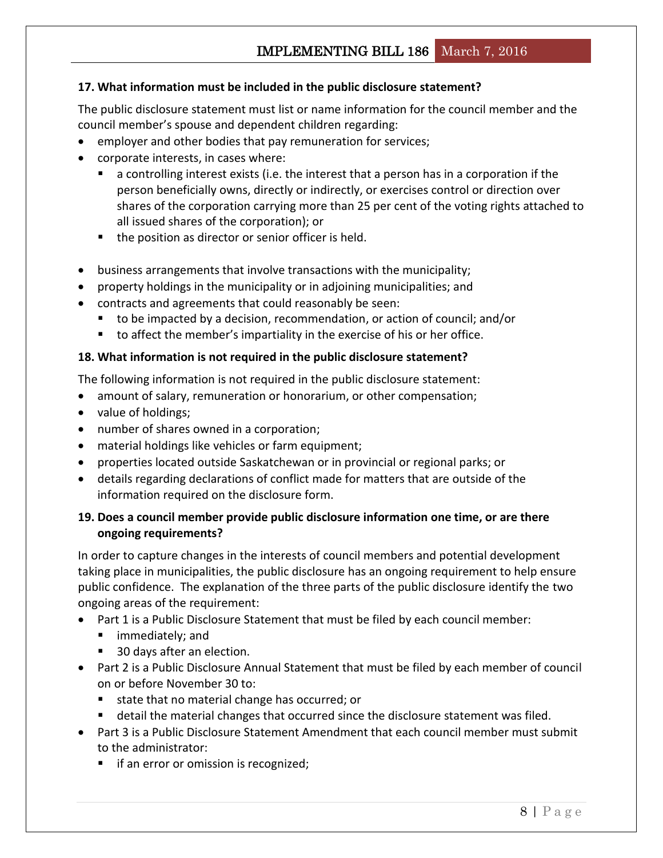## <span id="page-7-0"></span>**17. What information must be included in the public disclosure statement?**

The public disclosure statement must list or name information for the council member and the council member's spouse and dependent children regarding:

- employer and other bodies that pay remuneration for services;
- corporate interests, in cases where:
	- a controlling interest exists (i.e. the interest that a person has in a corporation if the person beneficially owns, directly or indirectly, or exercises control or direction over shares of the corporation carrying more than 25 per cent of the voting rights attached to all issued shares of the corporation); or
	- the position as director or senior officer is held.
- business arrangements that involve transactions with the municipality;
- property holdings in the municipality or in adjoining municipalities; and
- contracts and agreements that could reasonably be seen:
	- to be impacted by a decision, recommendation, or action of council; and/or
	- to affect the member's impartiality in the exercise of his or her office.

### <span id="page-7-1"></span>**18. What information is not required in the public disclosure statement?**

The following information is not required in the public disclosure statement:

- amount of salary, remuneration or honorarium, or other compensation;
- value of holdings;
- number of shares owned in a corporation;
- material holdings like vehicles or farm equipment;
- properties located outside Saskatchewan or in provincial or regional parks; or
- details regarding declarations of conflict made for matters that are outside of the information required on the disclosure form.

## <span id="page-7-2"></span>**19. Does a council member provide public disclosure information one time, or are there ongoing requirements?**

In order to capture changes in the interests of council members and potential development taking place in municipalities, the public disclosure has an ongoing requirement to help ensure public confidence. The explanation of the three parts of the public disclosure identify the two ongoing areas of the requirement:

- Part 1 is a Public Disclosure Statement that must be filed by each council member:
	- immediately; and
	- 30 days after an election.
- Part 2 is a Public Disclosure Annual Statement that must be filed by each member of council on or before November 30 to:
	- state that no material change has occurred; or
	- **detail the material changes that occurred since the disclosure statement was filed.**
- Part 3 is a Public Disclosure Statement Amendment that each council member must submit to the administrator:
	- **if an error or omission is recognized;**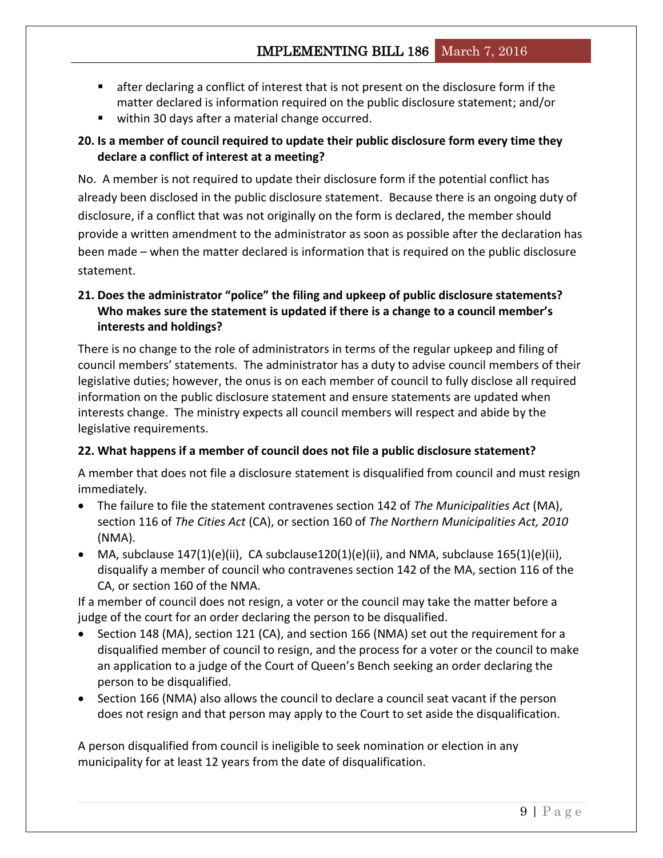- after declaring a conflict of interest that is not present on the disclosure form if the matter declared is information required on the public disclosure statement; and/or
- within 30 days after a material change occurred.

## <span id="page-8-0"></span>**20. Is a member of council required to update their public disclosure form every time they declare a conflict of interest at a meeting?**

No. A member is not required to update their disclosure form if the potential conflict has already been disclosed in the public disclosure statement. Because there is an ongoing duty of disclosure, if a conflict that was not originally on the form is declared, the member should provide a written amendment to the administrator as soon as possible after the declaration has been made – when the matter declared is information that is required on the public disclosure statement.

## <span id="page-8-1"></span>**21. Does the administrator "police" the filing and upkeep of public disclosure statements? Who makes sure the statement is updated if there is a change to a council member's interests and holdings?**

There is no change to the role of administrators in terms of the regular upkeep and filing of council members' statements. The administrator has a duty to advise council members of their legislative duties; however, the onus is on each member of council to fully disclose all required information on the public disclosure statement and ensure statements are updated when interests change. The ministry expects all council members will respect and abide by the legislative requirements.

## <span id="page-8-2"></span>**22. What happens if a member of council does not file a public disclosure statement?**

A member that does not file a disclosure statement is disqualified from council and must resign immediately.

- The failure to file the statement contravenes section 142 of *The Municipalities Act* (MA), section 116 of *The Cities Act* (CA), or section 160 of *The Northern Municipalities Act, 2010* (NMA).
- MA, subclause  $147(1)(e)(ii)$ , CA subclause $120(1)(e)(ii)$ , and NMA, subclause  $165(1)(e)(ii)$ , disqualify a member of council who contravenes section 142 of the MA, section 116 of the CA, or section 160 of the NMA.

If a member of council does not resign, a voter or the council may take the matter before a judge of the court for an order declaring the person to be disqualified.

- Section 148 (MA), section 121 (CA), and section 166 (NMA) set out the requirement for a disqualified member of council to resign, and the process for a voter or the council to make an application to a judge of the Court of Queen's Bench seeking an order declaring the person to be disqualified.
- Section 166 (NMA) also allows the council to declare a council seat vacant if the person does not resign and that person may apply to the Court to set aside the disqualification.

A person disqualified from council is ineligible to seek nomination or election in any municipality for at least 12 years from the date of disqualification.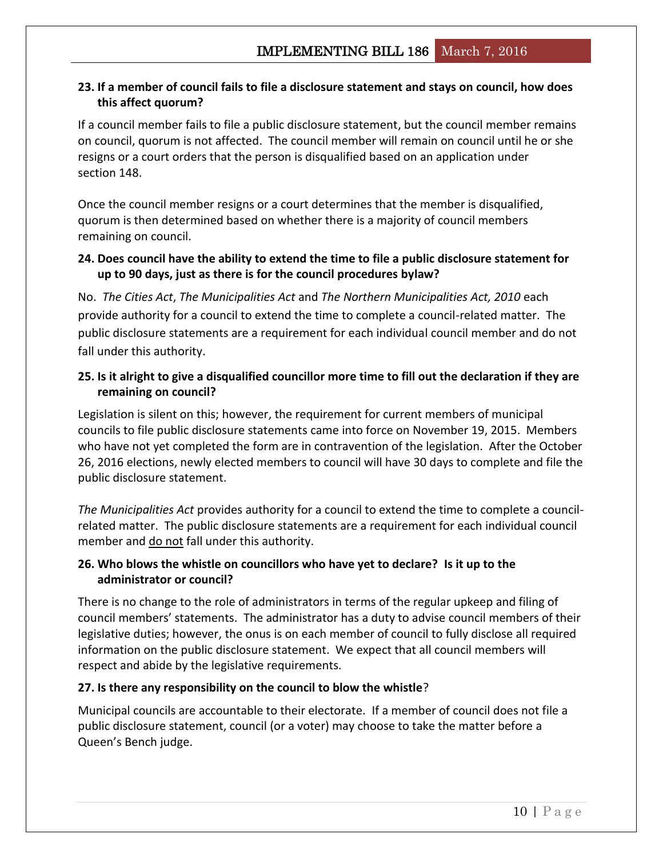## <span id="page-9-0"></span>**23. If a member of council fails to file a disclosure statement and stays on council, how does this affect quorum?**

If a council member fails to file a public disclosure statement, but the council member remains on council, quorum is not affected. The council member will remain on council until he or she resigns or a court orders that the person is disqualified based on an application under section 148.

Once the council member resigns or a court determines that the member is disqualified, quorum is then determined based on whether there is a majority of council members remaining on council.

## <span id="page-9-1"></span>**24. Does council have the ability to extend the time to file a public disclosure statement for up to 90 days, just as there is for the council procedures bylaw?**

No. *The Cities Act*, *The Municipalities Act* and *The Northern Municipalities Act, 2010* each provide authority for a council to extend the time to complete a council-related matter. The public disclosure statements are a requirement for each individual council member and do not fall under this authority.

## <span id="page-9-2"></span>**25. Is it alright to give a disqualified councillor more time to fill out the declaration if they are remaining on council?**

Legislation is silent on this; however, the requirement for current members of municipal councils to file public disclosure statements came into force on November 19, 2015. Members who have not yet completed the form are in contravention of the legislation. After the October 26, 2016 elections, newly elected members to council will have 30 days to complete and file the public disclosure statement.

*The Municipalities Act* provides authority for a council to extend the time to complete a councilrelated matter. The public disclosure statements are a requirement for each individual council member and do not fall under this authority.

## <span id="page-9-3"></span>**26. Who blows the whistle on councillors who have yet to declare? Is it up to the administrator or council?**

There is no change to the role of administrators in terms of the regular upkeep and filing of council members' statements. The administrator has a duty to advise council members of their legislative duties; however, the onus is on each member of council to fully disclose all required information on the public disclosure statement. We expect that all council members will respect and abide by the legislative requirements.

## <span id="page-9-4"></span>**27. Is there any responsibility on the council to blow the whistle**?

Municipal councils are accountable to their electorate. If a member of council does not file a public disclosure statement, council (or a voter) may choose to take the matter before a Queen's Bench judge.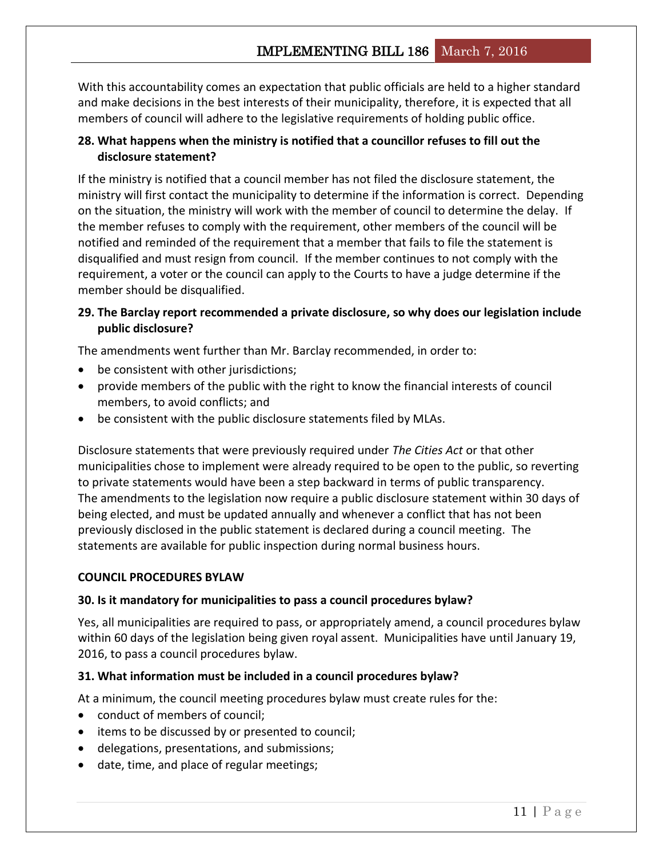# IMPLEMENTING BILL 186 March 7, 2016

With this accountability comes an expectation that public officials are held to a higher standard and make decisions in the best interests of their municipality, therefore, it is expected that all members of council will adhere to the legislative requirements of holding public office.

### <span id="page-10-0"></span>**28. What happens when the ministry is notified that a councillor refuses to fill out the disclosure statement?**

If the ministry is notified that a council member has not filed the disclosure statement, the ministry will first contact the municipality to determine if the information is correct. Depending on the situation, the ministry will work with the member of council to determine the delay. If the member refuses to comply with the requirement, other members of the council will be notified and reminded of the requirement that a member that fails to file the statement is disqualified and must resign from council. If the member continues to not comply with the requirement, a voter or the council can apply to the Courts to have a judge determine if the member should be disqualified.

## <span id="page-10-1"></span>**29. The Barclay report recommended a private disclosure, so why does our legislation include public disclosure?**

The amendments went further than Mr. Barclay recommended, in order to:

- be consistent with other jurisdictions;
- provide members of the public with the right to know the financial interests of council members, to avoid conflicts; and
- be consistent with the public disclosure statements filed by MLAs.

Disclosure statements that were previously required under *The Cities Act* or that other municipalities chose to implement were already required to be open to the public, so reverting to private statements would have been a step backward in terms of public transparency. The amendments to the legislation now require a public disclosure statement within 30 days of being elected, and must be updated annually and whenever a conflict that has not been previously disclosed in the public statement is declared during a council meeting. The statements are available for public inspection during normal business hours.

#### <span id="page-10-2"></span>**COUNCIL PROCEDURES BYLAW**

#### <span id="page-10-3"></span>**30. Is it mandatory for municipalities to pass a council procedures bylaw?**

Yes, all municipalities are required to pass, or appropriately amend, a council procedures bylaw within 60 days of the legislation being given royal assent. Municipalities have until January 19, 2016, to pass a council procedures bylaw.

#### <span id="page-10-4"></span>**31. What information must be included in a council procedures bylaw?**

At a minimum, the council meeting procedures bylaw must create rules for the:

- conduct of members of council;
- $\bullet$  items to be discussed by or presented to council;
- delegations, presentations, and submissions;
- date, time, and place of regular meetings;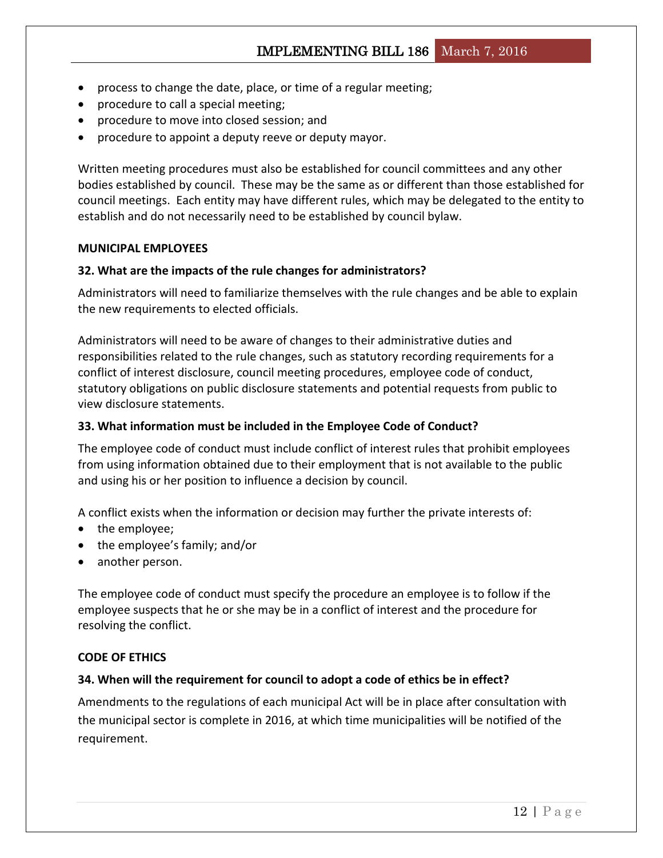- process to change the date, place, or time of a regular meeting;
- procedure to call a special meeting;
- procedure to move into closed session; and
- procedure to appoint a deputy reeve or deputy mayor.

Written meeting procedures must also be established for council committees and any other bodies established by council. These may be the same as or different than those established for council meetings. Each entity may have different rules, which may be delegated to the entity to establish and do not necessarily need to be established by council bylaw.

#### <span id="page-11-0"></span>**MUNICIPAL EMPLOYEES**

### <span id="page-11-1"></span>**32. What are the impacts of the rule changes for administrators?**

Administrators will need to familiarize themselves with the rule changes and be able to explain the new requirements to elected officials.

Administrators will need to be aware of changes to their administrative duties and responsibilities related to the rule changes, such as statutory recording requirements for a conflict of interest disclosure, council meeting procedures, employee code of conduct, statutory obligations on public disclosure statements and potential requests from public to view disclosure statements.

### <span id="page-11-2"></span>**33. What information must be included in the Employee Code of Conduct?**

The employee code of conduct must include conflict of interest rules that prohibit employees from using information obtained due to their employment that is not available to the public and using his or her position to influence a decision by council.

A conflict exists when the information or decision may further the private interests of:

- the employee;
- the employee's family; and/or
- another person.

The employee code of conduct must specify the procedure an employee is to follow if the employee suspects that he or she may be in a conflict of interest and the procedure for resolving the conflict.

#### <span id="page-11-3"></span>**CODE OF ETHICS**

#### <span id="page-11-4"></span>**34. When will the requirement for council to adopt a code of ethics be in effect?**

Amendments to the regulations of each municipal Act will be in place after consultation with the municipal sector is complete in 2016, at which time municipalities will be notified of the requirement.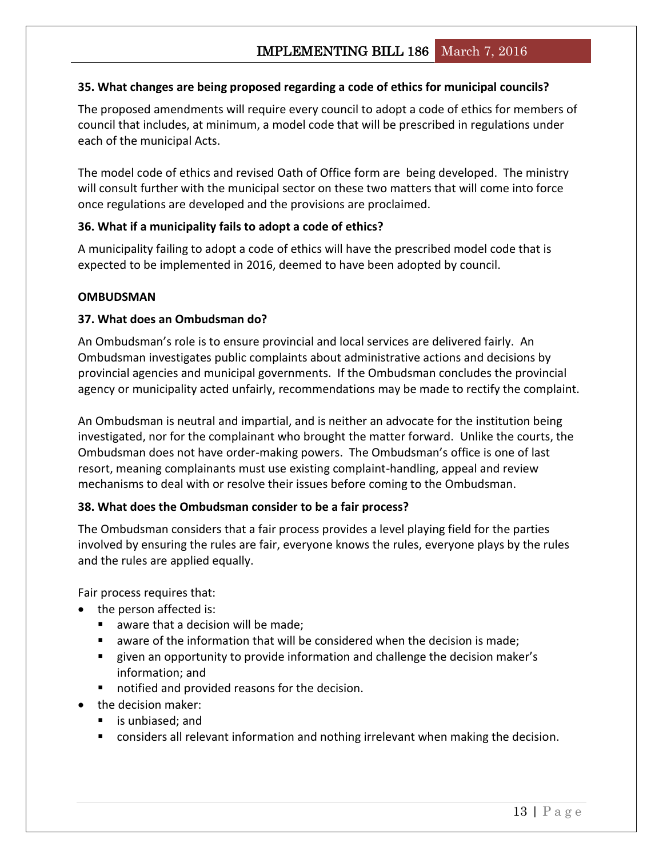## <span id="page-12-0"></span>**35. What changes are being proposed regarding a code of ethics for municipal councils?**

The proposed amendments will require every council to adopt a code of ethics for members of council that includes, at minimum, a model code that will be prescribed in regulations under each of the municipal Acts.

The model code of ethics and revised Oath of Office form are being developed. The ministry will consult further with the municipal sector on these two matters that will come into force once regulations are developed and the provisions are proclaimed.

### <span id="page-12-1"></span>**36. What if a municipality fails to adopt a code of ethics?**

<span id="page-12-2"></span>A municipality failing to adopt a code of ethics will have the prescribed model code that is expected to be implemented in 2016, deemed to have been adopted by council.

### **OMBUDSMAN**

### <span id="page-12-3"></span>**37. What does an Ombudsman do?**

An Ombudsman's role is to ensure provincial and local services are delivered fairly. An Ombudsman investigates public complaints about administrative actions and decisions by provincial agencies and municipal governments. If the Ombudsman concludes the provincial agency or municipality acted unfairly, recommendations may be made to rectify the complaint.

An Ombudsman is neutral and impartial, and is neither an advocate for the institution being investigated, nor for the complainant who brought the matter forward. Unlike the courts, the Ombudsman does not have order-making powers. The Ombudsman's office is one of last resort, meaning complainants must use existing complaint-handling, appeal and review mechanisms to deal with or resolve their issues before coming to the Ombudsman.

### <span id="page-12-4"></span>**38. What does the Ombudsman consider to be a fair process?**

The Ombudsman considers that a fair process provides a level playing field for the parties involved by ensuring the rules are fair, everyone knows the rules, everyone plays by the rules and the rules are applied equally.

Fair process requires that:

- the person affected is:
	- aware that a decision will be made;
	- aware of the information that will be considered when the decision is made;
	- given an opportunity to provide information and challenge the decision maker's information; and
	- notified and provided reasons for the decision.
- the decision maker:
	- is unbiased; and
	- **Considers all relevant information and nothing irrelevant when making the decision.**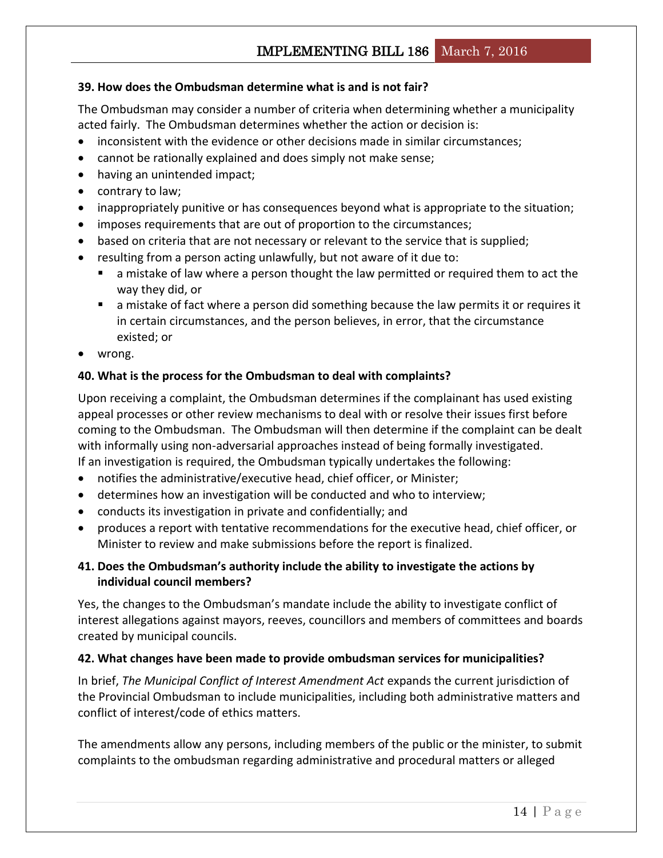# IMPLEMENTING BILL 186 March 7, 2016

### <span id="page-13-0"></span>**39. How does the Ombudsman determine what is and is not fair?**

The Ombudsman may consider a number of criteria when determining whether a municipality acted fairly. The Ombudsman determines whether the action or decision is:

- inconsistent with the evidence or other decisions made in similar circumstances;
- cannot be rationally explained and does simply not make sense;
- having an unintended impact;
- contrary to law;
- inappropriately punitive or has consequences beyond what is appropriate to the situation;
- imposes requirements that are out of proportion to the circumstances;
- based on criteria that are not necessary or relevant to the service that is supplied;
- resulting from a person acting unlawfully, but not aware of it due to:
	- a mistake of law where a person thought the law permitted or required them to act the way they did, or
	- a mistake of fact where a person did something because the law permits it or requires it in certain circumstances, and the person believes, in error, that the circumstance existed; or
- wrong.

### <span id="page-13-1"></span>**40. What is the process for the Ombudsman to deal with complaints?**

Upon receiving a complaint, the Ombudsman determines if the complainant has used existing appeal processes or other review mechanisms to deal with or resolve their issues first before coming to the Ombudsman. The Ombudsman will then determine if the complaint can be dealt with informally using non-adversarial approaches instead of being formally investigated. If an investigation is required, the Ombudsman typically undertakes the following:

- notifies the administrative/executive head, chief officer, or Minister;
- determines how an investigation will be conducted and who to interview;
- conducts its investigation in private and confidentially; and
- produces a report with tentative recommendations for the executive head, chief officer, or Minister to review and make submissions before the report is finalized.

## <span id="page-13-2"></span>**41. Does the Ombudsman's authority include the ability to investigate the actions by individual council members?**

Yes, the changes to the Ombudsman's mandate include the ability to investigate conflict of interest allegations against mayors, reeves, councillors and members of committees and boards created by municipal councils.

### <span id="page-13-3"></span>**42. What changes have been made to provide ombudsman services for municipalities?**

In brief, *The Municipal Conflict of Interest Amendment Act* expands the current jurisdiction of the Provincial Ombudsman to include municipalities, including both administrative matters and conflict of interest/code of ethics matters.

The amendments allow any persons, including members of the public or the minister, to submit complaints to the ombudsman regarding administrative and procedural matters or alleged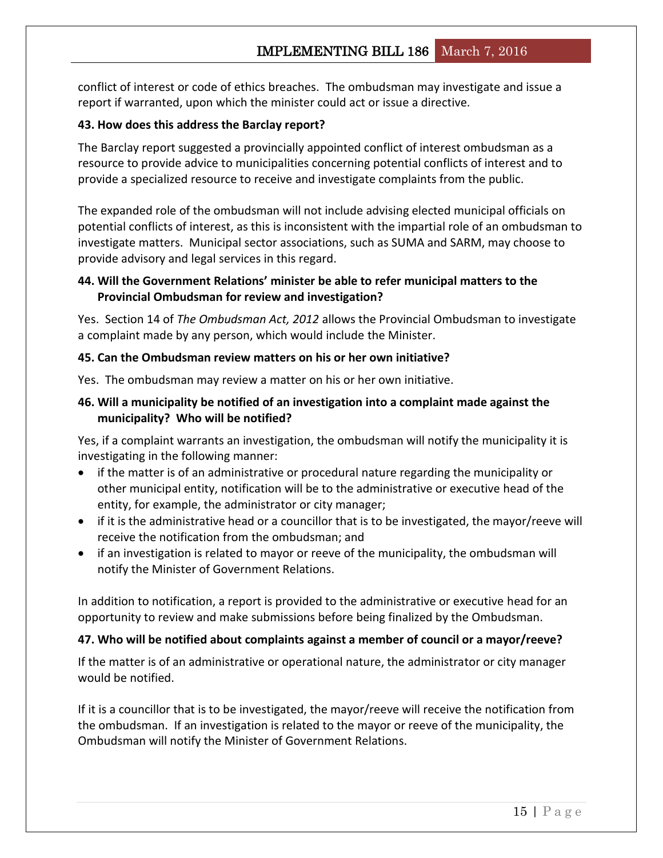conflict of interest or code of ethics breaches. The ombudsman may investigate and issue a report if warranted, upon which the minister could act or issue a directive.

### <span id="page-14-0"></span>**43. How does this address the Barclay report?**

The Barclay report suggested a provincially appointed conflict of interest ombudsman as a resource to provide advice to municipalities concerning potential conflicts of interest and to provide a specialized resource to receive and investigate complaints from the public.

The expanded role of the ombudsman will not include advising elected municipal officials on potential conflicts of interest, as this is inconsistent with the impartial role of an ombudsman to investigate matters. Municipal sector associations, such as SUMA and SARM, may choose to provide advisory and legal services in this regard.

## <span id="page-14-1"></span>**44. Will the Government Relations' minister be able to refer municipal matters to the Provincial Ombudsman for review and investigation?**

Yes. Section 14 of *The Ombudsman Act, 2012* allows the Provincial Ombudsman to investigate a complaint made by any person, which would include the Minister.

### <span id="page-14-2"></span>**45. Can the Ombudsman review matters on his or her own initiative?**

Yes. The ombudsman may review a matter on his or her own initiative.

## <span id="page-14-3"></span>**46. Will a municipality be notified of an investigation into a complaint made against the municipality? Who will be notified?**

Yes, if a complaint warrants an investigation, the ombudsman will notify the municipality it is investigating in the following manner:

- if the matter is of an administrative or procedural nature regarding the municipality or other municipal entity, notification will be to the administrative or executive head of the entity, for example, the administrator or city manager;
- if it is the administrative head or a councillor that is to be investigated, the mayor/reeve will receive the notification from the ombudsman; and
- if an investigation is related to mayor or reeve of the municipality, the ombudsman will notify the Minister of Government Relations.

In addition to notification, a report is provided to the administrative or executive head for an opportunity to review and make submissions before being finalized by the Ombudsman.

## <span id="page-14-4"></span>**47. Who will be notified about complaints against a member of council or a mayor/reeve?**

If the matter is of an administrative or operational nature, the administrator or city manager would be notified.

If it is a councillor that is to be investigated, the mayor/reeve will receive the notification from the ombudsman. If an investigation is related to the mayor or reeve of the municipality, the Ombudsman will notify the Minister of Government Relations.